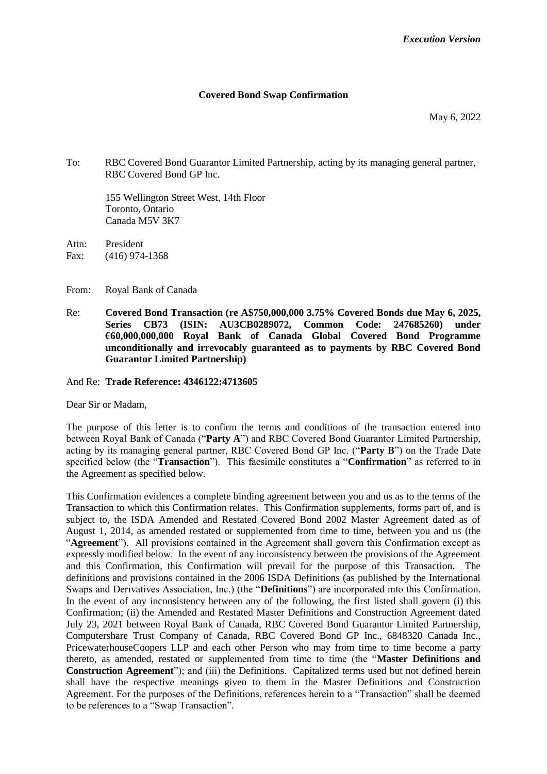## **Covered Bond Swap Confirmation**

May 6, 2022

To: RBC Covered Bond Guarantor Limited Partnership, acting by its managing general partner, RBC Covered Bond GP Inc.

155 Wellington Street West, 14th Floor Toronto, Ontario Canada M5V 3K7

Attn: President Fax: (416) 974-1368

- From: Royal Bank of Canada
- Re: **Covered Bond Transaction (re A\$750,000,000 3.75% Covered Bonds due May 6, 2025, Series CB73 (ISIN: AU3CB0289072, Common Code: 247685260) under €60,000,000,000 Royal Bank of Canada Global Covered Bond Programme unconditionally and irrevocably guaranteed as to payments by RBC Covered Bond Guarantor Limited Partnership)**

And Re: **Trade Reference: 4346122:4713605**

Dear Sir or Madam,

The purpose of this letter is to confirm the terms and conditions of the transaction entered into between Royal Bank of Canada ("**Party A**") and RBC Covered Bond Guarantor Limited Partnership, acting by its managing general partner, RBC Covered Bond GP Inc. ("**Party B**") on the Trade Date specified below (the "**Transaction**"). This facsimile constitutes a "**Confirmation**" as referred to in the Agreement as specified below.

This Confirmation evidences a complete binding agreement between you and us as to the terms of the Transaction to which this Confirmation relates. This Confirmation supplements, forms part of, and is subject to, the ISDA Amended and Restated Covered Bond 2002 Master Agreement dated as of August 1, 2014, as amended restated or supplemented from time to time, between you and us (the "**Agreement**"). All provisions contained in the Agreement shall govern this Confirmation except as expressly modified below. In the event of any inconsistency between the provisions of the Agreement and this Confirmation, this Confirmation will prevail for the purpose of this Transaction. The definitions and provisions contained in the 2006 ISDA Definitions (as published by the International Swaps and Derivatives Association, Inc.) (the "**Definitions**") are incorporated into this Confirmation. In the event of any inconsistency between any of the following, the first listed shall govern (i) this Confirmation; (ii) the Amended and Restated Master Definitions and Construction Agreement dated July 23, 2021 between Royal Bank of Canada, RBC Covered Bond Guarantor Limited Partnership, Computershare Trust Company of Canada, RBC Covered Bond GP Inc., 6848320 Canada Inc., PricewaterhouseCoopers LLP and each other Person who may from time to time become a party thereto, as amended, restated or supplemented from time to time (the "**Master Definitions and Construction Agreement**"); and (iii) the Definitions. Capitalized terms used but not defined herein shall have the respective meanings given to them in the Master Definitions and Construction Agreement. For the purposes of the Definitions, references herein to a "Transaction" shall be deemed to be references to a "Swap Transaction".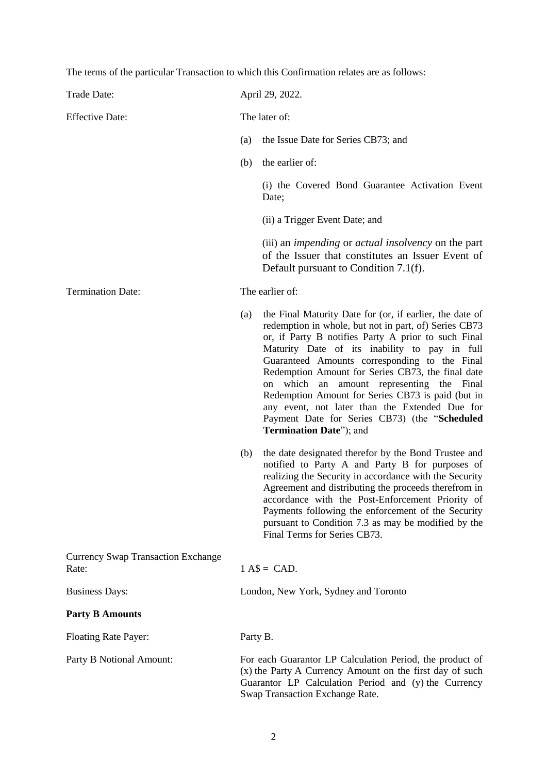The terms of the particular Transaction to which this Confirmation relates are as follows:

| Trade Date:                                        | April 29, 2022.                      |                                                                                                                                                                                                                                                                                                                                                                                                                                                                                                                                                                             |  |
|----------------------------------------------------|--------------------------------------|-----------------------------------------------------------------------------------------------------------------------------------------------------------------------------------------------------------------------------------------------------------------------------------------------------------------------------------------------------------------------------------------------------------------------------------------------------------------------------------------------------------------------------------------------------------------------------|--|
| <b>Effective Date:</b>                             | The later of:                        |                                                                                                                                                                                                                                                                                                                                                                                                                                                                                                                                                                             |  |
|                                                    | (a)                                  | the Issue Date for Series CB73; and                                                                                                                                                                                                                                                                                                                                                                                                                                                                                                                                         |  |
|                                                    | (b)                                  | the earlier of:                                                                                                                                                                                                                                                                                                                                                                                                                                                                                                                                                             |  |
|                                                    |                                      | (i) the Covered Bond Guarantee Activation Event<br>Date;                                                                                                                                                                                                                                                                                                                                                                                                                                                                                                                    |  |
|                                                    |                                      | (ii) a Trigger Event Date; and                                                                                                                                                                                                                                                                                                                                                                                                                                                                                                                                              |  |
|                                                    |                                      | (iii) an <i>impending</i> or <i>actual insolvency</i> on the part<br>of the Issuer that constitutes an Issuer Event of<br>Default pursuant to Condition 7.1(f).                                                                                                                                                                                                                                                                                                                                                                                                             |  |
| <b>Termination Date:</b>                           |                                      | The earlier of:                                                                                                                                                                                                                                                                                                                                                                                                                                                                                                                                                             |  |
|                                                    | (a)                                  | the Final Maturity Date for (or, if earlier, the date of<br>redemption in whole, but not in part, of) Series CB73<br>or, if Party B notifies Party A prior to such Final<br>Maturity Date of its inability to pay in full<br>Guaranteed Amounts corresponding to the Final<br>Redemption Amount for Series CB73, the final date<br>which<br>amount representing the<br>Final<br>an<br>on<br>Redemption Amount for Series CB73 is paid (but in<br>any event, not later than the Extended Due for<br>Payment Date for Series CB73) (the "Scheduled<br>Termination Date"); and |  |
|                                                    | (b)                                  | the date designated therefor by the Bond Trustee and<br>notified to Party A and Party B for purposes of<br>realizing the Security in accordance with the Security<br>Agreement and distributing the proceeds therefrom in<br>accordance with the Post-Enforcement Priority of<br>Payments following the enforcement of the Security<br>pursuant to Condition 7.3 as may be modified by the<br>Final Terms for Series CB73.                                                                                                                                                  |  |
| <b>Currency Swap Transaction Exchange</b><br>Rate: | $1 A$ = CAD.$                        |                                                                                                                                                                                                                                                                                                                                                                                                                                                                                                                                                                             |  |
| <b>Business Days:</b>                              | London, New York, Sydney and Toronto |                                                                                                                                                                                                                                                                                                                                                                                                                                                                                                                                                                             |  |
| <b>Party B Amounts</b>                             |                                      |                                                                                                                                                                                                                                                                                                                                                                                                                                                                                                                                                                             |  |
| <b>Floating Rate Payer:</b>                        | Party B.                             |                                                                                                                                                                                                                                                                                                                                                                                                                                                                                                                                                                             |  |
| Party B Notional Amount:                           |                                      | For each Guarantor LP Calculation Period, the product of<br>(x) the Party A Currency Amount on the first day of such<br>Guarantor LP Calculation Period and (y) the Currency<br>Swap Transaction Exchange Rate.                                                                                                                                                                                                                                                                                                                                                             |  |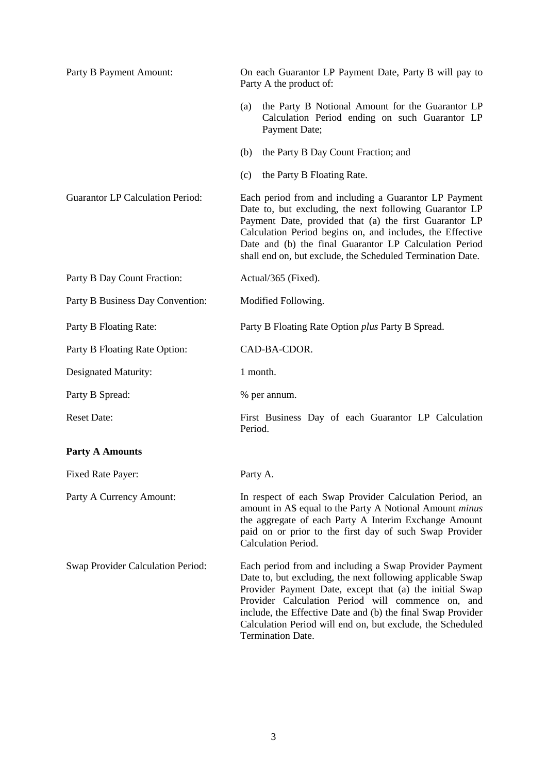| Party B Payment Amount:                 | On each Guarantor LP Payment Date, Party B will pay to<br>Party A the product of:                                                                                                                                                                                                                                                                                                      |  |
|-----------------------------------------|----------------------------------------------------------------------------------------------------------------------------------------------------------------------------------------------------------------------------------------------------------------------------------------------------------------------------------------------------------------------------------------|--|
|                                         | the Party B Notional Amount for the Guarantor LP<br>(a)<br>Calculation Period ending on such Guarantor LP<br>Payment Date;                                                                                                                                                                                                                                                             |  |
|                                         | (b)<br>the Party B Day Count Fraction; and                                                                                                                                                                                                                                                                                                                                             |  |
|                                         | the Party B Floating Rate.<br>(c)                                                                                                                                                                                                                                                                                                                                                      |  |
| <b>Guarantor LP Calculation Period:</b> | Each period from and including a Guarantor LP Payment<br>Date to, but excluding, the next following Guarantor LP<br>Payment Date, provided that (a) the first Guarantor LP<br>Calculation Period begins on, and includes, the Effective<br>Date and (b) the final Guarantor LP Calculation Period<br>shall end on, but exclude, the Scheduled Termination Date.                        |  |
| Party B Day Count Fraction:             | Actual/365 (Fixed).                                                                                                                                                                                                                                                                                                                                                                    |  |
| Party B Business Day Convention:        | Modified Following.                                                                                                                                                                                                                                                                                                                                                                    |  |
| Party B Floating Rate:                  | Party B Floating Rate Option <i>plus</i> Party B Spread.                                                                                                                                                                                                                                                                                                                               |  |
| Party B Floating Rate Option:           | CAD-BA-CDOR.                                                                                                                                                                                                                                                                                                                                                                           |  |
| Designated Maturity:                    | 1 month.                                                                                                                                                                                                                                                                                                                                                                               |  |
| Party B Spread:                         | % per annum.                                                                                                                                                                                                                                                                                                                                                                           |  |
| <b>Reset Date:</b>                      | First Business Day of each Guarantor LP Calculation<br>Period.                                                                                                                                                                                                                                                                                                                         |  |
| <b>Party A Amounts</b>                  |                                                                                                                                                                                                                                                                                                                                                                                        |  |
| Fixed Rate Payer:                       | Party A.                                                                                                                                                                                                                                                                                                                                                                               |  |
| Party A Currency Amount:                | In respect of each Swap Provider Calculation Period, an<br>amount in A\$ equal to the Party A Notional Amount <i>minus</i><br>the aggregate of each Party A Interim Exchange Amount<br>paid on or prior to the first day of such Swap Provider<br>Calculation Period.                                                                                                                  |  |
| Swap Provider Calculation Period:       | Each period from and including a Swap Provider Payment<br>Date to, but excluding, the next following applicable Swap<br>Provider Payment Date, except that (a) the initial Swap<br>Provider Calculation Period will commence on, and<br>include, the Effective Date and (b) the final Swap Provider<br>Calculation Period will end on, but exclude, the Scheduled<br>Termination Date. |  |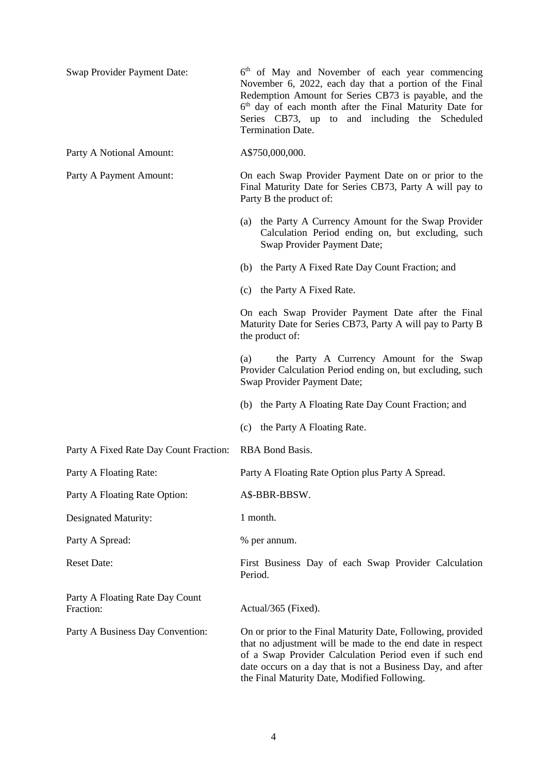| Swap Provider Payment Date:                  | 6 <sup>th</sup> of May and November of each year commencing<br>November 6, 2022, each day that a portion of the Final<br>Redemption Amount for Series CB73 is payable, and the<br>6 <sup>th</sup> day of each month after the Final Maturity Date for<br>Series CB73, up to and including the Scheduled<br><b>Termination Date.</b> |  |
|----------------------------------------------|-------------------------------------------------------------------------------------------------------------------------------------------------------------------------------------------------------------------------------------------------------------------------------------------------------------------------------------|--|
| Party A Notional Amount:                     | A\$750,000,000.                                                                                                                                                                                                                                                                                                                     |  |
| Party A Payment Amount:                      | On each Swap Provider Payment Date on or prior to the<br>Final Maturity Date for Series CB73, Party A will pay to<br>Party B the product of:                                                                                                                                                                                        |  |
|                                              | the Party A Currency Amount for the Swap Provider<br>(a)<br>Calculation Period ending on, but excluding, such<br>Swap Provider Payment Date;                                                                                                                                                                                        |  |
|                                              | the Party A Fixed Rate Day Count Fraction; and<br>(b)                                                                                                                                                                                                                                                                               |  |
|                                              | (c) the Party A Fixed Rate.                                                                                                                                                                                                                                                                                                         |  |
|                                              | On each Swap Provider Payment Date after the Final<br>Maturity Date for Series CB73, Party A will pay to Party B<br>the product of:                                                                                                                                                                                                 |  |
|                                              | the Party A Currency Amount for the Swap<br>(a)<br>Provider Calculation Period ending on, but excluding, such<br>Swap Provider Payment Date;                                                                                                                                                                                        |  |
|                                              | (b) the Party A Floating Rate Day Count Fraction; and                                                                                                                                                                                                                                                                               |  |
|                                              | (c) the Party A Floating Rate.                                                                                                                                                                                                                                                                                                      |  |
| Party A Fixed Rate Day Count Fraction:       | RBA Bond Basis.                                                                                                                                                                                                                                                                                                                     |  |
| Party A Floating Rate:                       | Party A Floating Rate Option plus Party A Spread.                                                                                                                                                                                                                                                                                   |  |
| Party A Floating Rate Option:                | A\$-BBR-BBSW.                                                                                                                                                                                                                                                                                                                       |  |
| Designated Maturity:                         | 1 month.                                                                                                                                                                                                                                                                                                                            |  |
| Party A Spread:                              | % per annum.                                                                                                                                                                                                                                                                                                                        |  |
| <b>Reset Date:</b>                           | First Business Day of each Swap Provider Calculation<br>Period.                                                                                                                                                                                                                                                                     |  |
| Party A Floating Rate Day Count<br>Fraction: | Actual/365 (Fixed).                                                                                                                                                                                                                                                                                                                 |  |
| Party A Business Day Convention:             | On or prior to the Final Maturity Date, Following, provided<br>that no adjustment will be made to the end date in respect<br>of a Swap Provider Calculation Period even if such end<br>date occurs on a day that is not a Business Day, and after<br>the Final Maturity Date, Modified Following.                                   |  |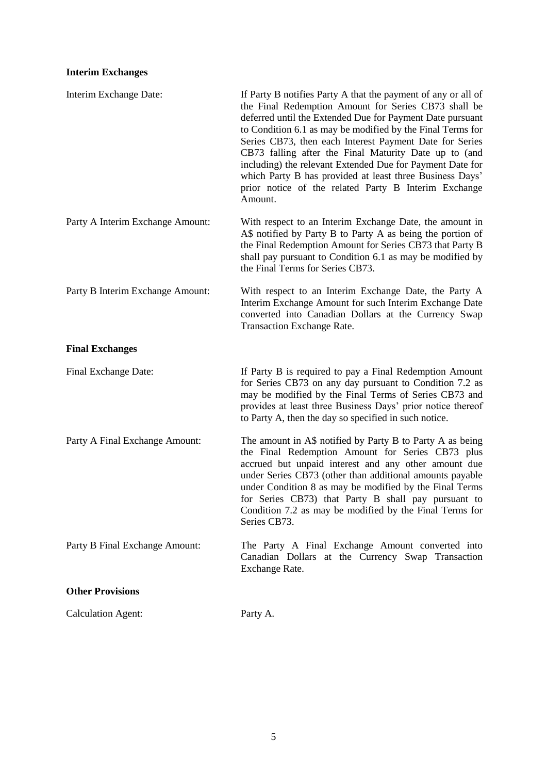# **Interim Exchanges**

| Interim Exchange Date:           | If Party B notifies Party A that the payment of any or all of<br>the Final Redemption Amount for Series CB73 shall be<br>deferred until the Extended Due for Payment Date pursuant<br>to Condition 6.1 as may be modified by the Final Terms for<br>Series CB73, then each Interest Payment Date for Series<br>CB73 falling after the Final Maturity Date up to (and<br>including) the relevant Extended Due for Payment Date for<br>which Party B has provided at least three Business Days'<br>prior notice of the related Party B Interim Exchange<br>Amount. |
|----------------------------------|------------------------------------------------------------------------------------------------------------------------------------------------------------------------------------------------------------------------------------------------------------------------------------------------------------------------------------------------------------------------------------------------------------------------------------------------------------------------------------------------------------------------------------------------------------------|
| Party A Interim Exchange Amount: | With respect to an Interim Exchange Date, the amount in<br>A\$ notified by Party B to Party A as being the portion of<br>the Final Redemption Amount for Series CB73 that Party B<br>shall pay pursuant to Condition 6.1 as may be modified by<br>the Final Terms for Series CB73.                                                                                                                                                                                                                                                                               |
| Party B Interim Exchange Amount: | With respect to an Interim Exchange Date, the Party A<br>Interim Exchange Amount for such Interim Exchange Date<br>converted into Canadian Dollars at the Currency Swap<br><b>Transaction Exchange Rate.</b>                                                                                                                                                                                                                                                                                                                                                     |
| <b>Final Exchanges</b>           |                                                                                                                                                                                                                                                                                                                                                                                                                                                                                                                                                                  |
| Final Exchange Date:             | If Party B is required to pay a Final Redemption Amount<br>for Series CB73 on any day pursuant to Condition 7.2 as<br>may be modified by the Final Terms of Series CB73 and<br>provides at least three Business Days' prior notice thereof<br>to Party A, then the day so specified in such notice.                                                                                                                                                                                                                                                              |
| Party A Final Exchange Amount:   | The amount in A\$ notified by Party B to Party A as being<br>the Final Redemption Amount for Series CB73 plus<br>accrued but unpaid interest and any other amount due<br>under Series CB73 (other than additional amounts payable<br>under Condition 8 as may be modified by the Final Terms<br>for Series CB73) that Party B shall pay pursuant to<br>Condition 7.2 as may be modified by the Final Terms for<br>Series CB73.                                                                                                                                   |
| Party B Final Exchange Amount:   | The Party A Final Exchange Amount converted into<br>Canadian Dollars at the Currency Swap Transaction<br>Exchange Rate.                                                                                                                                                                                                                                                                                                                                                                                                                                          |
| <b>Other Provisions</b>          |                                                                                                                                                                                                                                                                                                                                                                                                                                                                                                                                                                  |
| <b>Calculation Agent:</b>        | Party A.                                                                                                                                                                                                                                                                                                                                                                                                                                                                                                                                                         |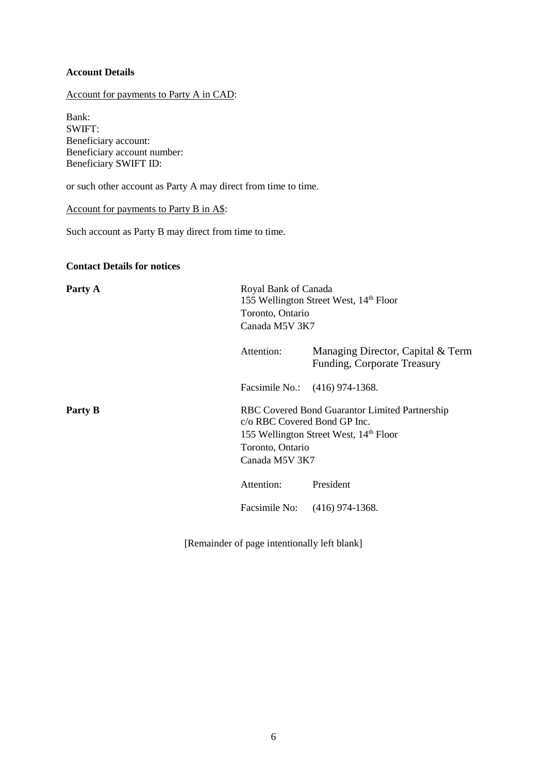# **Account Details**

Account for payments to Party A in CAD:

Bank: SWIFT: Beneficiary account: Beneficiary account number: Beneficiary SWIFT ID:

or such other account as Party A may direct from time to time.

Account for payments to Party B in A\$:

Such account as Party B may direct from time to time.

#### **Contact Details for notices**

| Party A |                                                                    | Royal Bank of Canada<br>155 Wellington Street West, 14th Floor<br>Toronto, Ontario<br>Canada M5V 3K7 |  |  |
|---------|--------------------------------------------------------------------|------------------------------------------------------------------------------------------------------|--|--|
|         | Attention:                                                         | Managing Director, Capital & Term<br>Funding, Corporate Treasury                                     |  |  |
|         |                                                                    | Facsimile No.: (416) 974-1368.                                                                       |  |  |
| Party B | c/o RBC Covered Bond GP Inc.<br>Toronto, Ontario<br>Canada M5V 3K7 | RBC Covered Bond Guarantor Limited Partnership<br>155 Wellington Street West, 14 <sup>th</sup> Floor |  |  |
|         | Attention:                                                         | President                                                                                            |  |  |
|         |                                                                    | Facsimile No: (416) 974-1368.                                                                        |  |  |
|         |                                                                    |                                                                                                      |  |  |

[Remainder of page intentionally left blank]